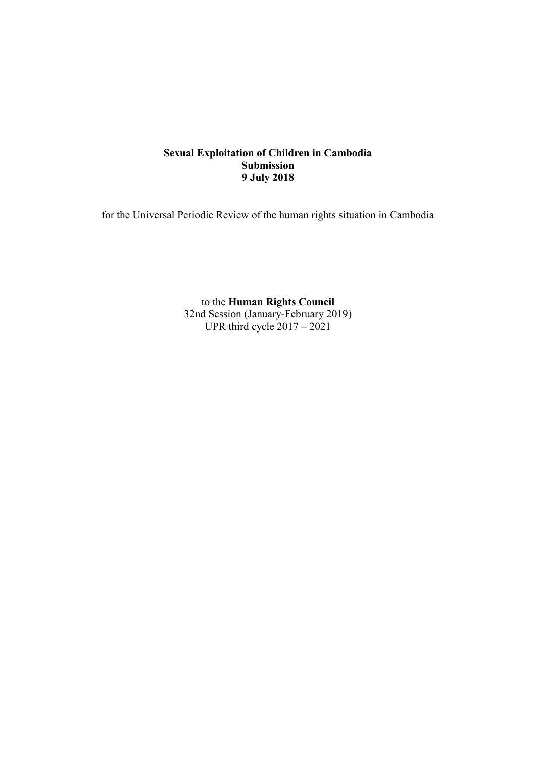# **Sexual Exploitation of Children in Cambodia Submission 9 July 2018**

for the Universal Periodic Review of the human rights situation in Cambodia

to the **Human Rights Council** 32nd Session (January-February 2019) UPR third cycle  $2017 - 2021$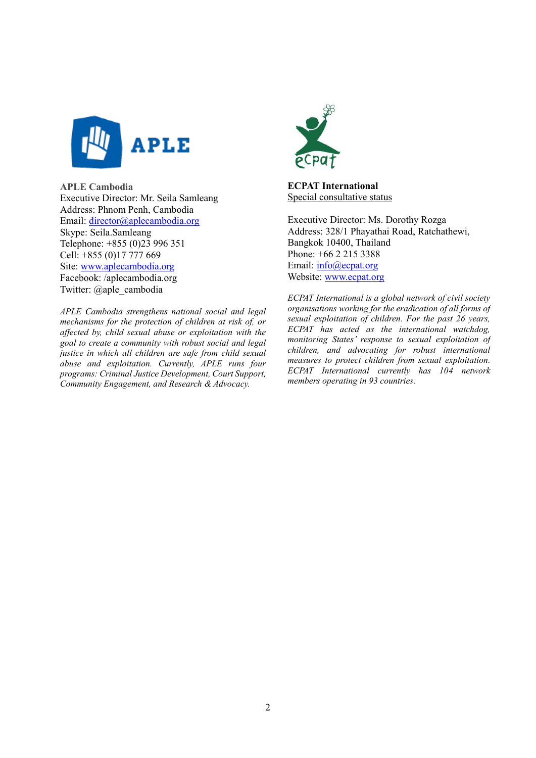

**APLE Cambodia** Executive Director: Mr. Seila Samleang Address: Phnom Penh, Cambodia Email: [director@aplecambodia.org](mailto:director@aplecambodia.org) Skype: Seila.Samleang Telephone: +855 (0)23 996 351 Cell: +855 (0)17 777 669 Site: [www.aplecambodia.org](http://www.aplecambodia.org/) Facebook: /aplecambodia.org Twitter: @aple\_cambodia

*APLE Cambodia strengthens national social and legal mechanisms for the protection of children at risk of, or affected by, child sexual abuse or exploitation with the goal to create a community with robust social and legal justice in which all children are safe from child sexual abuse and exploitation. Currently, APLE runs four programs: Criminal Justice Development, Court Support, Community Engagement, and Research & Advocacy.*



**ECPAT International** Special consultative status

Executive Director: Ms. Dorothy Rozga Address: 328/1 Phayathai Road, Ratchathewi, Bangkok 10400, Thailand Phone: [+66 2 215 3388](tel:+66%202%20215%203388) Email: info@ecpat.org Website: [www.ecpat.org](http://www.ecpat.org/)

*ECPAT International is a global network of civil society organisations working for the eradication of all forms of sexual exploitation of children. For the past 26 years, ECPAT has acted as the international watchdog, monitoring States' response to sexual exploitation of children, and advocating for robust international measures to protect children from sexual exploitation. ECPAT International currently has 104 network members operating in 93 countries.*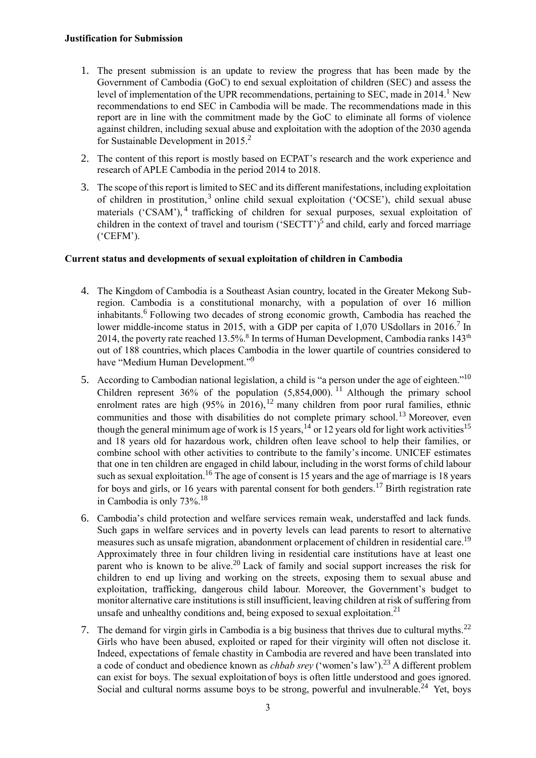- 1. The present submission is an update to review the progress that has been made by the Government of Cambodia (GoC) to end sexual exploitation of children (SEC) and assess the level of implementation of the UPR recommendations, pertaining to SEC, made in 2014.<sup>1</sup> New recommendations to end SEC in Cambodia will be made. The recommendations made in this report are in line with the commitment made by the GoC to eliminate all forms of violence against children, including sexual abuse and exploitation with the adoption of the 2030 agenda for Sustainable Development in 2015. 2
- 2. The content of this report is mostly based on ECPAT's research and the work experience and research of APLE Cambodia in the period 2014 to 2018.
- 3. The scope of this report is limited to SEC and its different manifestations, including exploitation of children in prostitution,<sup>3</sup> online child sexual exploitation ('OCSE'), child sexual abuse materials ('CSAM'),<sup>4</sup> trafficking of children for sexual purposes, sexual exploitation of children in the context of travel and tourism ('SECTT')<sup>5</sup> and child, early and forced marriage ('CEFM').

# **Current status and developments of sexual exploitation of children in Cambodia**

- 4. The Kingdom of Cambodia is a Southeast Asian country, located in the Greater Mekong Subregion. Cambodia is a constitutional monarchy, with a population of over 16 million inhabitants.<sup>6</sup> Following two decades of strong economic growth, Cambodia has reached the lower middle-income status in 2015, with a GDP per capita of 1,070 USdollars in 2016.<sup>7</sup> In 2014, the poverty rate reached 13.5%.<sup>8</sup> In terms of Human Development, Cambodia ranks 143<sup>th</sup> out of 188 countries, which places Cambodia in the lower quartile of countries considered to have "Medium Human Development."<sup>9</sup>
- 5. According to Cambodian national legislation, a child is "a person under the age of eighteen."<sup>10</sup> Children represent  $36\%$  of the population  $(5,854,000)$ .<sup>11</sup> Although the primary school enrolment rates are high  $(95\%$  in 2016), <sup>12</sup> many children from poor rural families, ethnic communities and those with disabilities do not complete primary school.<sup>13</sup> Moreover, even though the general minimum age of work is 15 years,  $14$  or 12 years old for light work activities<sup>15</sup> and 18 years old for hazardous work, children often leave school to help their families, or combine school with other activities to contribute to the family'sincome. UNICEF estimates that one in ten children are engaged in child labour, including in the worst forms of child labour such as sexual exploitation.<sup>16</sup> The age of consent is 15 years and the age of marriage is 18 years for boys and girls, or 16 years with parental consent for both genders.<sup>17</sup> Birth registration rate in Cambodia is only 73%.<sup>18</sup>
- 6. Cambodia's child protection and welfare services remain weak, understaffed and lack funds. Such gaps in welfare services and in poverty levels can lead parents to resort to alternative measures such as unsafe migration, abandonment orplacement of children in residential care.<sup>19</sup> Approximately three in four children living in residential care institutions have at least one parent who is known to be alive.<sup>20</sup> Lack of family and social support increases the risk for children to end up living and working on the streets, exposing them to sexual abuse and exploitation, trafficking, dangerous child labour. Moreover, the Government's budget to monitor alternative care institutions is still insufficient, leaving children at risk of suffering from unsafe and unhealthy conditions and, being exposed to sexual exploitation.<sup>21</sup>
- 7. The demand for virgin girls in Cambodia is a big business that thrives due to cultural myths.<sup>22</sup> Girls who have been abused, exploited or raped for their virginity will often not disclose it. Indeed, expectations of female chastity in Cambodia are revered and have been translated into a code of conduct and obedience known as *chbab srey* ('women's law').<sup>23</sup> A different problem can exist for boys. The sexual exploitation of boys is often little understood and goes ignored. Social and cultural norms assume boys to be strong, powerful and invulnerable.<sup>24</sup> Yet, boys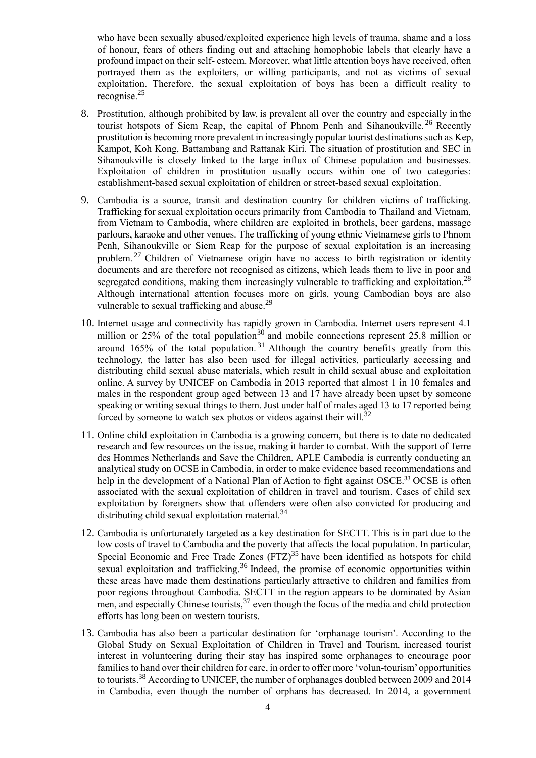who have been sexually abused/exploited experience high levels of trauma, shame and a loss of honour, fears of others finding out and attaching homophobic labels that clearly have a profound impact on their self- esteem. Moreover, what little attention boys have received, often portrayed them as the exploiters, or willing participants, and not as victims of sexual exploitation. Therefore, the sexual exploitation of boys has been a difficult reality to recognise.<sup>25</sup>

- 8. Prostitution, although prohibited by law, is prevalent all over the country and especially in the tourist hotspots of Siem Reap, the capital of Phnom Penh and Sihanoukville.<sup>26</sup> Recently prostitution is becoming more prevalent in increasingly popular tourist destinations such as Kep, Kampot, Koh Kong, Battambang and Rattanak Kiri. The situation of prostitution and SEC in Sihanoukville is closely linked to the large influx of Chinese population and businesses. Exploitation of children in prostitution usually occurs within one of two categories: establishment-based sexual exploitation of children or street-based sexual exploitation.
- 9. Cambodia is a source, transit and destination country for children victims of trafficking. Trafficking for sexual exploitation occurs primarily from Cambodia to Thailand and Vietnam, from Vietnam to Cambodia, where children are exploited in brothels, beer gardens, massage parlours, karaoke and other venues. The trafficking of young ethnic Vietnamese girls to Phnom Penh, Sihanoukville or Siem Reap for the purpose of sexual exploitation is an increasing problem.<sup>27</sup> Children of Vietnamese origin have no access to birth registration or identity documents and are therefore not recognised as citizens, which leads them to live in poor and segregated conditions, making them increasingly vulnerable to trafficking and exploitation.<sup>28</sup> Although international attention focuses more on girls, young Cambodian boys are also vulnerable to sexual trafficking and abuse.<sup>29</sup>
- 10. Internet usage and connectivity has rapidly grown in Cambodia. Internet users represent 4.1 million or 25% of the total population<sup>30</sup> and mobile connections represent 25.8 million or around  $165%$  of the total population.<sup>31</sup> Although the country benefits greatly from this technology, the latter has also been used for illegal activities, particularly accessing and distributing child sexual abuse materials, which result in child sexual abuse and exploitation online. A survey by UNICEF on Cambodia in 2013 reported that almost 1 in 10 females and males in the respondent group aged between 13 and 17 have already been upset by someone speaking or writing sexual things to them. Just under half of males aged 13 to 17 reported being forced by someone to watch sex photos or videos against their will.<sup>32</sup>
- 11. Online child exploitation in Cambodia is a growing concern, but there is to date no dedicated research and few resources on the issue, making it harder to combat. With the support of Terre des Hommes Netherlands and Save the Children, APLE Cambodia is currently conducting an analytical study on OCSE in Cambodia, in order to make evidence based recommendations and help in the development of a National Plan of Action to fight against OSCE.<sup>33</sup> OCSE is often associated with the sexual exploitation of children in travel and tourism. Cases of child sex exploitation by foreigners show that offenders were often also convicted for producing and distributing child sexual exploitation material.<sup>34</sup>
- 12. Cambodia is unfortunately targeted as a key destination for SECTT. This is in part due to the low costs of travel to Cambodia and the poverty that affects the local population. In particular, Special Economic and Free Trade Zones  $(FTZ)^{35}$  have been identified as hotspots for child sexual exploitation and trafficking.<sup>36</sup> Indeed, the promise of economic opportunities within these areas have made them destinations particularly attractive to children and families from poor regions throughout Cambodia. SECTT in the region appears to be dominated by Asian men, and especially Chinese tourists,  $37$  even though the focus of the media and child protection efforts has long been on western tourists.
- 13. Cambodia has also been a particular destination for 'orphanage tourism'. According to the Global Study on Sexual Exploitation of Children in Travel and Tourism, increased tourist interest in volunteering during their stay has inspired some orphanages to encourage poor families to hand over their children for care, in order to offer more 'volun-tourism' opportunities to tourists.<sup>38</sup> According to UNICEF, the number of orphanages doubled between 2009 and 2014 in Cambodia, even though the number of orphans has decreased. In 2014, a government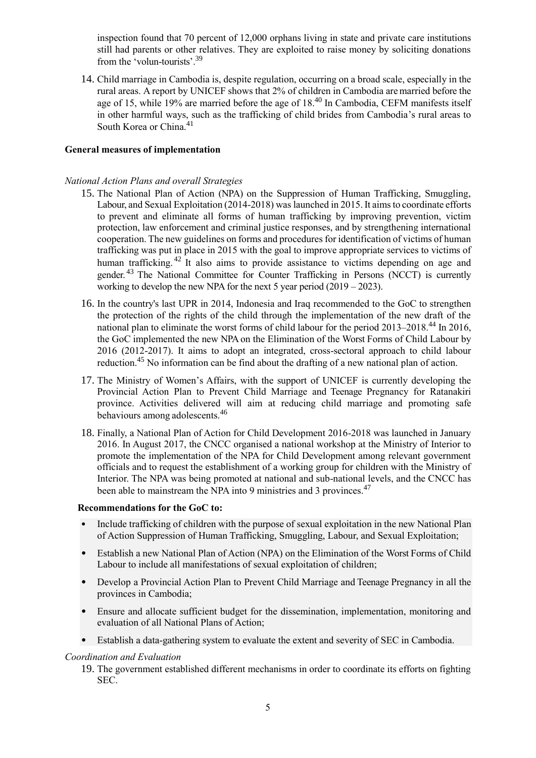inspection found that 70 percent of 12,000 orphans living in state and private care institutions still had parents or other relatives. They are exploited to raise money by soliciting donations from the 'volun-tourists'.<sup>39</sup>

14. Child marriage in Cambodia is, despite regulation, occurring on a broad scale, especially in the rural areas. A report by UNICEF shows that 2% of children in Cambodia aremarried before the age of 15, while 19% are married before the age of  $18<sup>40</sup>$  In Cambodia, CEFM manifests itself in other harmful ways, such as the trafficking of child brides from Cambodia's rural areas to South Korea or China.<sup>41</sup>

### **General measures of implementation**

### *National Action Plans and overall Strategies*

- 15. The National Plan of Action (NPA) on the Suppression of Human Trafficking, Smuggling, Labour, and Sexual Exploitation (2014-2018) was launched in 2015. It aims to coordinate efforts to prevent and eliminate all forms of human trafficking by improving prevention, victim protection, law enforcement and criminal justice responses, and by strengthening international cooperation. The new guidelines on forms and procedures for identification of victims of human trafficking was put in place in 2015 with the goal to improve appropriate services to victims of human trafficking.<sup>42</sup> It also aims to provide assistance to victims depending on age and gender.<sup>43</sup> The National Committee for Counter Trafficking in Persons (NCCT) is currently working to develop the new NPA for the next 5 year period (2019 – 2023).
- 16. In the country's last UPR in 2014, Indonesia and Iraq recommended to the GoC to strengthen the protection of the rights of the child through the implementation of the new draft of the national plan to eliminate the worst forms of child labour for the period  $2013-2018$ .<sup>44</sup> In 2016, the GoC implemented the new NPA on the Elimination of the Worst Forms of Child Labour by 2016 (2012-2017). It aims to adopt an integrated, cross-sectoral approach to child labour reduction.<sup>45</sup> No information can be find about the drafting of a new national plan of action.
- 17. The Ministry of Women's Affairs, with the support of UNICEF is currently developing the Provincial Action Plan to Prevent Child Marriage and Teenage Pregnancy for Ratanakiri province. Activities delivered will aim at reducing child marriage and promoting safe behaviours among adolescents.<sup>46</sup>
- 18. Finally, a National Plan of Action for Child Development 2016-2018 was launched in January 2016. In August 2017, the CNCC organised a national workshop at the Ministry of Interior to promote the implementation of the NPA for Child Development among relevant government officials and to request the establishment of a working group for children with the Ministry of Interior. The NPA was being promoted at national and sub-national levels, and the CNCC has been able to mainstream the NPA into 9 ministries and 3 provinces.<sup>47</sup>

### **Recommendations for the GoC to:**

- Include trafficking of children with the purpose of sexual exploitation in the new National Plan of Action Suppression of Human Trafficking, Smuggling, Labour, and Sexual Exploitation;
- Establish a new National Plan of Action (NPA) on the Elimination of the Worst Forms of Child Labour to include all manifestations of sexual exploitation of children;
- Develop a Provincial Action Plan to Prevent Child Marriage and Teenage Pregnancy in all the provinces in Cambodia;
- Ensure and allocate sufficient budget for the dissemination, implementation, monitoring and evaluation of all National Plans of Action;
- Establish a data-gathering system to evaluate the extent and severity of SEC in Cambodia.

# *Coordination and Evaluation*

19. The government established different mechanisms in order to coordinate its efforts on fighting SEC.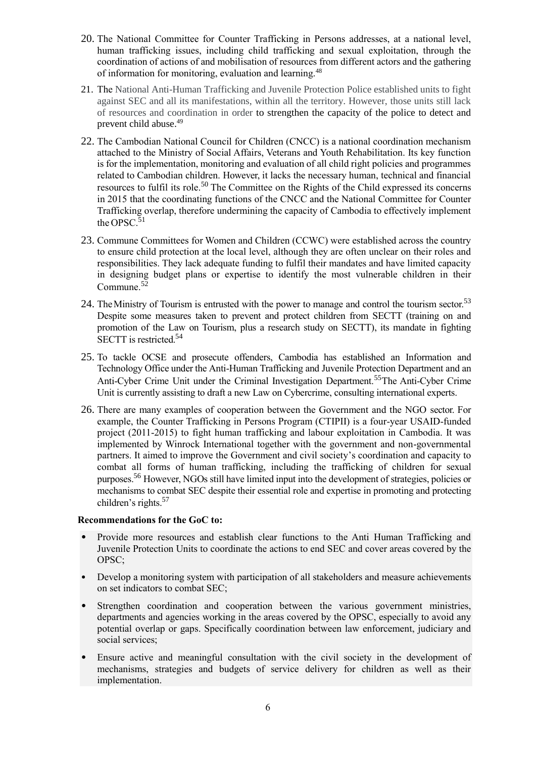- 20. The National Committee for Counter Trafficking in Persons addresses, at a national level, human trafficking issues, including child trafficking and sexual exploitation, through the coordination of actions of and mobilisation of resources from different actors and the gathering of information for monitoring, evaluation and learning.<sup>48</sup>
- 21. The National Anti-Human Trafficking and Juvenile Protection Police established units to fight against SEC and all its manifestations, within all the territory. However, those units still lack of resources and coordination in order to strengthen the capacity of the police to detect and prevent child abuse.<sup>49</sup>
- 22. The Cambodian National Council for Children (CNCC) is a national coordination mechanism attached to the Ministry of Social Affairs, Veterans and Youth Rehabilitation. Its key function is for the implementation, monitoring and evaluation of all child right policies and programmes related to Cambodian children. However, it lacks the necessary human, technical and financial resources to fulfil its role.<sup>50</sup> The Committee on the Rights of the Child expressed its concerns in 2015 that the coordinating functions of the CNCC and the National Committee for Counter Trafficking overlap, therefore undermining the capacity of Cambodia to effectively implement the OPSC. $51$
- 23. Commune Committees for Women and Children (CCWC) were established across the country to ensure child protection at the local level, although they are often unclear on their roles and responsibilities. They lack adequate funding to fulfil their mandates and have limited capacity in designing budget plans or expertise to identify the most vulnerable children in their Commune.<sup>52</sup>
- 24. The Ministry of Tourism is entrusted with the power to manage and control the tourism sector.<sup>53</sup> Despite some measures taken to prevent and protect children from SECTT (training on and promotion of the Law on Tourism, plus a research study on SECTT), its mandate in fighting SECTT is restricted.<sup>54</sup>
- 25. To tackle OCSE and prosecute offenders, Cambodia has established an Information and Technology Office under the Anti-Human Trafficking and Juvenile Protection Department and an Anti-Cyber Crime Unit under the Criminal Investigation Department.<sup>55</sup> The Anti-Cyber Crime Unit is currently assisting to draft a new Law on Cybercrime, consulting international experts.
- 26. There are many examples of cooperation between the Government and the NGO sector. For example, the Counter Trafficking in Persons Program (CTIPII) is a four-year USAID-funded project (2011-2015) to fight human trafficking and labour exploitation in Cambodia. It was implemented by Winrock International together with the government and non-governmental partners. It aimed to improve the Government and civil society's coordination and capacity to combat all forms of human trafficking, including the trafficking of children for sexual purposes.<sup>56</sup> However, NGOs still have limited input into the development of strategies, policies or mechanisms to combat SEC despite their essential role and expertise in promoting and protecting children's rights.<sup>57</sup>

# **Recommendations for the GoC to:**

- Provide more resources and establish clear functions to the Anti Human Trafficking and Juvenile Protection Units to coordinate the actions to end SEC and cover areas covered by the OPSC;
- Develop a monitoring system with participation of all stakeholders and measure achievements on set indicators to combat SEC;
- Strengthen coordination and cooperation between the various government ministries, departments and agencies working in the areas covered by the OPSC, especially to avoid any potential overlap or gaps. Specifically coordination between law enforcement, judiciary and social services;
- Ensure active and meaningful consultation with the civil society in the development of mechanisms, strategies and budgets of service delivery for children as well as their implementation.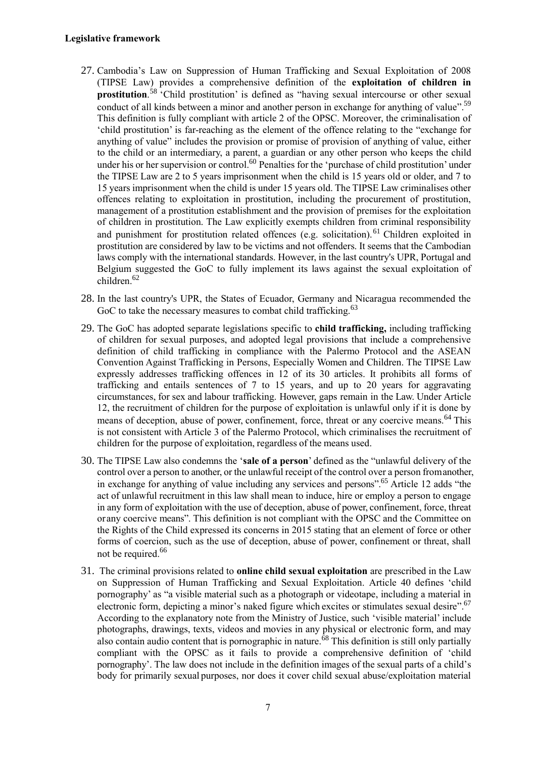# **Legislative framework**

- 27. Cambodia's Law on Suppression of Human Trafficking and Sexual Exploitation of 2008 (TIPSE Law) provides a comprehensive definition of the **exploitation of children in prostitution**.<sup>58</sup> 'Child prostitution' is defined as "having sexual intercourse or other sexual conduct of all kinds between a minor and another person in exchange for anything of value".<sup>59</sup> This definition is fully compliant with article 2 of the OPSC. Moreover, the criminalisation of 'child prostitution' is far-reaching as the element of the offence relating to the "exchange for anything of value" includes the provision or promise of provision of anything of value, either to the child or an intermediary, a parent, a guardian or any other person who keeps the child under his or her supervision or control.<sup>60</sup> Penalties for the 'purchase of child prostitution' under the TIPSE Law are 2 to 5 years imprisonment when the child is 15 years old or older, and 7 to 15 years imprisonment when the child is under 15 years old. The TIPSE Law criminalises other offences relating to exploitation in prostitution, including the procurement of prostitution, management of a prostitution establishment and the provision of premises for the exploitation of children in prostitution. The Law explicitly exempts children from criminal responsibility and punishment for prostitution related offences (e.g. solicitation).<sup>61</sup> Children exploited in prostitution are considered by law to be victims and not offenders. It seems that the Cambodian laws comply with the international standards. However, in the last country's UPR, Portugal and Belgium suggested the GoC to fully implement its laws against the sexual exploitation of children.<sup>62</sup>
- 28. In the last country's UPR, the States of Ecuador, Germany and Nicaragua recommended the GoC to take the necessary measures to combat child trafficking.<sup>63</sup>
- 29. The GoC has adopted separate legislations specific to **child trafficking,** including trafficking of children for sexual purposes, and adopted legal provisions that include a comprehensive definition of child trafficking in compliance with the Palermo Protocol and the ASEAN Convention Against Trafficking in Persons, Especially Women and Children. The TIPSE Law expressly addresses trafficking offences in 12 of its 30 articles. It prohibits all forms of trafficking and entails sentences of 7 to 15 years, and up to 20 years for aggravating circumstances, for sex and labour trafficking. However, gaps remain in the Law. Under Article 12, the recruitment of children for the purpose of exploitation is unlawful only if it is done by means of deception, abuse of power, confinement, force, threat or any coercive means.<sup>64</sup> This is not consistent with Article 3 of the Palermo Protocol, which criminalises the recruitment of children for the purpose of exploitation, regardless of the means used.
- 30. The TIPSE Law also condemns the '**sale of a person**' defined as the "unlawful delivery of the control over a person to another, or the unlawful receipt of the control over a person fromanother, in exchange for anything of value including any services and persons".<sup>65</sup> Article 12 adds "the act of unlawful recruitment in this law shall mean to induce, hire or employ a person to engage in any form of exploitation with the use of deception, abuse of power, confinement, force, threat orany coercive means". This definition is not compliant with the OPSC and the Committee on the Rights of the Child expressed its concerns in 2015 stating that an element of force or other forms of coercion, such as the use of deception, abuse of power, confinement or threat, shall not be required.<sup>66</sup>
- 31. The criminal provisions related to **online child sexual exploitation** are prescribed in the Law on Suppression of Human Trafficking and Sexual Exploitation. Article 40 defines 'child pornography' as "a visible material such as a photograph or videotape, including a material in electronic form, depicting a minor's naked figure which excites or stimulates sexual desire".<sup>67</sup> According to the explanatory note from the Ministry of Justice, such 'visible material' include photographs, drawings, texts, videos and movies in any physical or electronic form, and may also contain audio content that is pornographic in nature.  $\delta^8$  This definition is still only partially compliant with the OPSC as it fails to provide a comprehensive definition of 'child pornography'. The law does not include in the definition images of the sexual parts of a child's body for primarily sexual purposes, nor does it cover child sexual abuse/exploitation material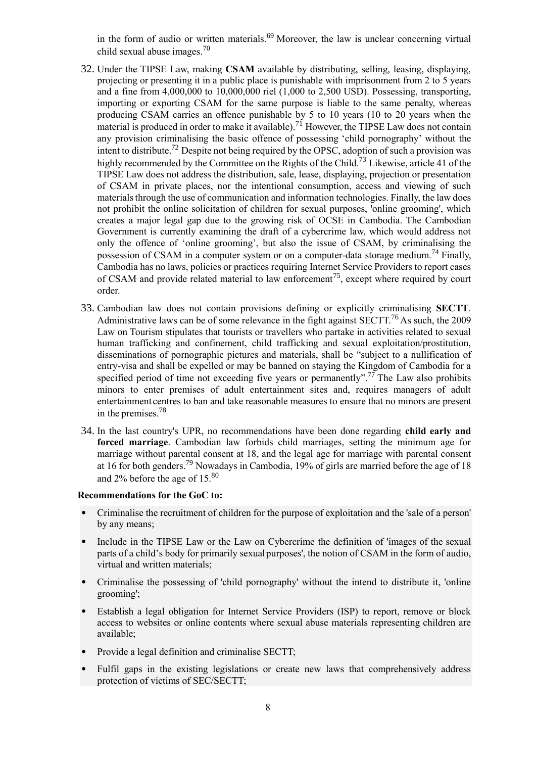in the form of audio or written materials.<sup>69</sup> Moreover, the law is unclear concerning virtual child sexual abuse images.<sup>70</sup>

- 32. Under the TIPSE Law, making **CSAM** available by distributing, selling, leasing, displaying, projecting or presenting it in a public place is punishable with imprisonment from 2 to 5 years and a fine from 4,000,000 to 10,000,000 riel (1,000 to 2,500 USD). Possessing, transporting, importing or exporting CSAM for the same purpose is liable to the same penalty, whereas producing CSAM carries an offence punishable by 5 to 10 years (10 to 20 years when the material is produced in order to make it available).<sup>71</sup> However, the TIPSE Law does not contain any provision criminalising the basic offence of possessing 'child pornography' without the intent to distribute.<sup>72</sup> Despite not being required by the OPSC, adoption of such a provision was highly recommended by the Committee on the Rights of the Child.<sup>73</sup> Likewise, article 41 of the TIPSE Law does not address the distribution, sale, lease, displaying, projection or presentation of CSAM in private places, nor the intentional consumption, access and viewing of such materials through the use of communication and information technologies. Finally, the law does not prohibit the online solicitation of children for sexual purposes, 'online grooming', which creates a major legal gap due to the growing risk of OCSE in Cambodia. The Cambodian Government is currently examining the draft of a cybercrime law, which would address not only the offence of 'online grooming', but also the issue of CSAM, by criminalising the possession of CSAM in a computer system or on a computer-data storage medium.<sup>74</sup> Finally, Cambodia has no laws, policies or practices requiring Internet Service Providers to report cases of CSAM and provide related material to law enforcement<sup>75</sup>, except where required by court order.
- 33. Cambodian law does not contain provisions defining or explicitly criminalising **SECTT**. Administrative laws can be of some relevance in the fight against  $SECTT^{76}$  As such, the 2009 Law on Tourism stipulates that tourists or travellers who partake in activities related to sexual human trafficking and confinement, child trafficking and sexual exploitation/prostitution, disseminations of pornographic pictures and materials, shall be "subject to a nullification of entry-visa and shall be expelled or may be banned on staying the Kingdom of Cambodia for a specified period of time not exceeding five years or permanently".<sup>77</sup> The Law also prohibits minors to enter premises of adult entertainment sites and, requires managers of adult entertainment centres to ban and take reasonable measures to ensure that no minors are present in the premises.<sup>78</sup>
- 34. In the last country's UPR, no recommendations have been done regarding **child early and forced marriage**. Cambodian law forbids child marriages, setting the minimum age for marriage without parental consent at 18, and the legal age for marriage with parental consent at 16 for both genders.<sup>79</sup> Nowadays in Cambodia, 19% of girls are married before the age of 18 and 2% before the age of 15.<sup>80</sup>

#### **Recommendations for the GoC to:**

- Criminalise the recruitment of children for the purpose of exploitation and the 'sale of a person' by any means;
- Include in the TIPSE Law or the Law on Cybercrime the definition of 'images of the sexual parts of a child's body for primarily sexualpurposes', the notion of CSAM in the form of audio, virtual and written materials;
- Criminalise the possessing of 'child pornography' without the intend to distribute it, 'online grooming';
- Establish a legal obligation for Internet Service Providers (ISP) to report, remove or block access to websites or online contents where sexual abuse materials representing children are available;
- Provide a legal definition and criminalise SECTT;
- Fulfil gaps in the existing legislations or create new laws that comprehensively address protection of victims of SEC/SECTT;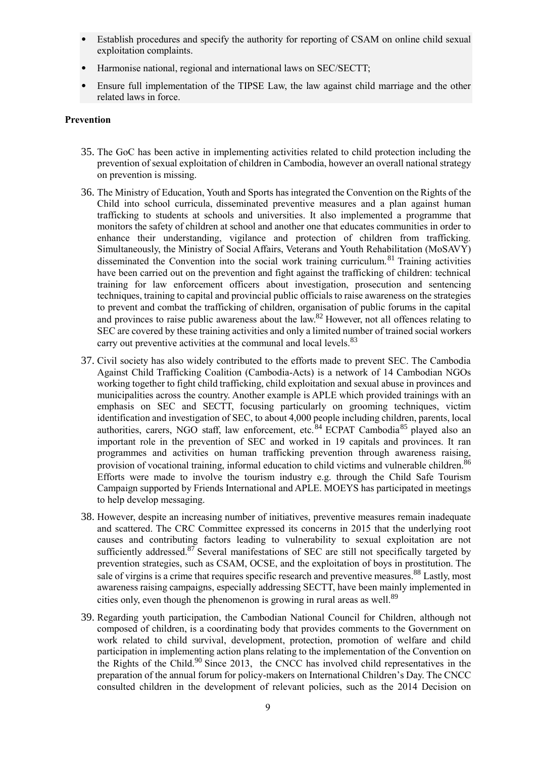- Establish procedures and specify the authority for reporting of CSAM on online child sexual exploitation complaints.
- Harmonise national, regional and international laws on SEC/SECTT;
- Ensure full implementation of the TIPSE Law, the law against child marriage and the other related laws in force.

# **Prevention**

- 35. The GoC has been active in implementing activities related to child protection including the prevention of sexual exploitation of children in Cambodia, however an overall national strategy on prevention is missing.
- 36. The Ministry of Education, Youth and Sports has integrated the Convention on the Rights of the Child into school curricula, disseminated preventive measures and a plan against human trafficking to students at schools and universities. It also implemented a programme that monitors the safety of children at school and another one that educates communities in order to enhance their understanding, vigilance and protection of children from trafficking. Simultaneously, the Ministry of Social Affairs, Veterans and Youth Rehabilitation (MoSAVY) disseminated the Convention into the social work training curriculum.<sup>81</sup> Training activities have been carried out on the prevention and fight against the trafficking of children: technical training for law enforcement officers about investigation, prosecution and sentencing techniques, training to capital and provincial public officials to raise awareness on the strategies to prevent and combat the trafficking of children, organisation of public forums in the capital and provinces to raise public awareness about the law.<sup>82</sup> However, not all offences relating to SEC are covered by these training activities and only a limited number of trained social workers carry out preventive activities at the communal and local levels.<sup>83</sup>
- 37. Civil society has also widely contributed to the efforts made to prevent SEC. The Cambodia Against Child Trafficking Coalition (Cambodia-Acts) is a network of 14 Cambodian NGOs working together to fight child trafficking, child exploitation and sexual abuse in provinces and municipalities across the country. Another example is APLE which provided trainings with an emphasis on SEC and SECTT, focusing particularly on grooming techniques, victim identification and investigation of SEC, to about 4,000 people including children, parents, local authorities, carers, NGO staff, law enforcement, etc.<sup>84</sup> ECPAT Cambodia<sup>85</sup> played also an important role in the prevention of SEC and worked in 19 capitals and provinces. It ran programmes and activities on human trafficking prevention through awareness raising, provision of vocational training, informal education to child victims and vulnerable children.<sup>86</sup> Efforts were made to involve the tourism industry e.g. through the Child Safe Tourism Campaign supported by Friends International and APLE. MOEYS has participated in meetings to help develop messaging.
- 38. However, despite an increasing number of initiatives, preventive measures remain inadequate and scattered. The CRC Committee expressed its concerns in 2015 that the underlying root causes and contributing factors leading to vulnerability to sexual exploitation are not sufficiently addressed.<sup>87</sup> Several manifestations of SEC are still not specifically targeted by prevention strategies, such as CSAM, OCSE, and the exploitation of boys in prostitution. The sale of virgins is a crime that requires specific research and preventive measures.<sup>88</sup> Lastly, most awareness raising campaigns, especially addressing SECTT, have been mainly implemented in cities only, even though the phenomenon is growing in rural areas as well.<sup>89</sup>
- 39. Regarding youth participation, the Cambodian National Council for Children, although not composed of children, is a coordinating body that provides comments to the Government on work related to child survival, development, protection, promotion of welfare and child participation in implementing action plans relating to the implementation of the Convention on the Rights of the Child.<sup>90</sup> Since 2013, the CNCC has involved child representatives in the preparation of the annual forum for policy-makers on International Children's Day. The CNCC consulted children in the development of relevant policies, such as the 2014 Decision on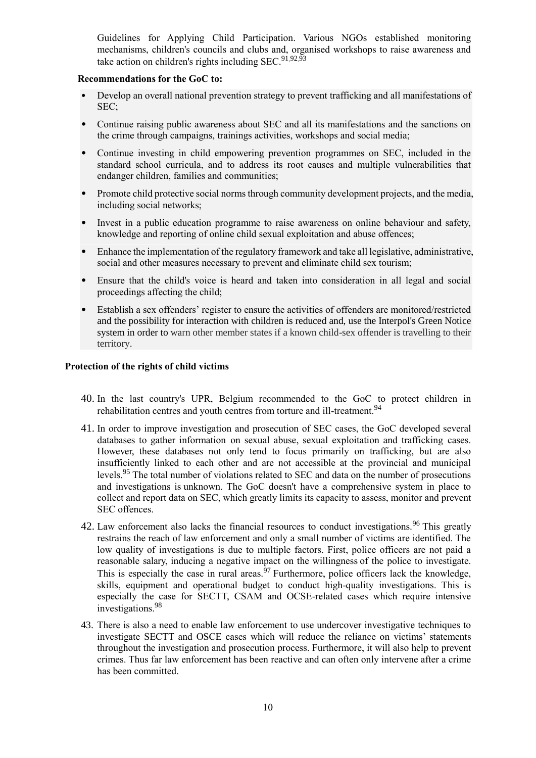Guidelines for Applying Child Participation. Various NGOs established monitoring mechanisms, children's councils and clubs and, organised workshops to raise awareness and take action on children's rights including SEC.<sup>91,92,93</sup>

# **Recommendations for the GoC to:**

- Develop an overall national prevention strategy to prevent trafficking and all manifestations of SEC;
- Continue raising public awareness about SEC and all its manifestations and the sanctions on the crime through campaigns, trainings activities, workshops and social media;
- Continue investing in child empowering prevention programmes on SEC, included in the standard school curricula, and to address its root causes and multiple vulnerabilities that endanger children, families and communities;
- Promote child protective social norms through community development projects, and the media, including social networks;
- Invest in a public education programme to raise awareness on online behaviour and safety, knowledge and reporting of online child sexual exploitation and abuse offences;
- Enhance the implementation of the regulatory framework and take all legislative, administrative, social and other measures necessary to prevent and eliminate child sex tourism;
- Ensure that the child's voice is heard and taken into consideration in all legal and social proceedings affecting the child;
- Establish a sex offenders' register to ensure the activities of offenders are monitored/restricted and the possibility for interaction with children is reduced and, use the Interpol's Green Notice system in order to warn other member states if a known child-sex offender is travelling to their territory.

### **Protection of the rights of child victims**

- 40. In the last country's UPR, Belgium recommended to the GoC to protect children in rehabilitation centres and youth centres from torture and ill-treatment.<sup>94</sup>
- 41. In order to improve investigation and prosecution of SEC cases, the GoC developed several databases to gather information on sexual abuse, sexual exploitation and trafficking cases. However, these databases not only tend to focus primarily on trafficking, but are also insufficiently linked to each other and are not accessible at the provincial and municipal levels.<sup>95</sup> The total number of violations related to SEC and data on the number of prosecutions and investigations is unknown. The GoC doesn't have a comprehensive system in place to collect and report data on SEC, which greatly limits its capacity to assess, monitor and prevent SEC offences.
- 42. Law enforcement also lacks the financial resources to conduct investigations.<sup>96</sup> This greatly restrains the reach of law enforcement and only a small number of victims are identified. The low quality of investigations is due to multiple factors. First, police officers are not paid a reasonable salary, inducing a negative impact on the willingness of the police to investigate. This is especially the case in rural areas.  $97$  Furthermore, police officers lack the knowledge, skills, equipment and operational budget to conduct high-quality investigations. This is especially the case for SECTT, CSAM and OCSE-related cases which require intensive investigations.<sup>98</sup>
- 43. There is also a need to enable law enforcement to use undercover investigative techniques to investigate SECTT and OSCE cases which will reduce the reliance on victims' statements throughout the investigation and prosecution process. Furthermore, it will also help to prevent crimes. Thus far law enforcement has been reactive and can often only intervene after a crime has been committed.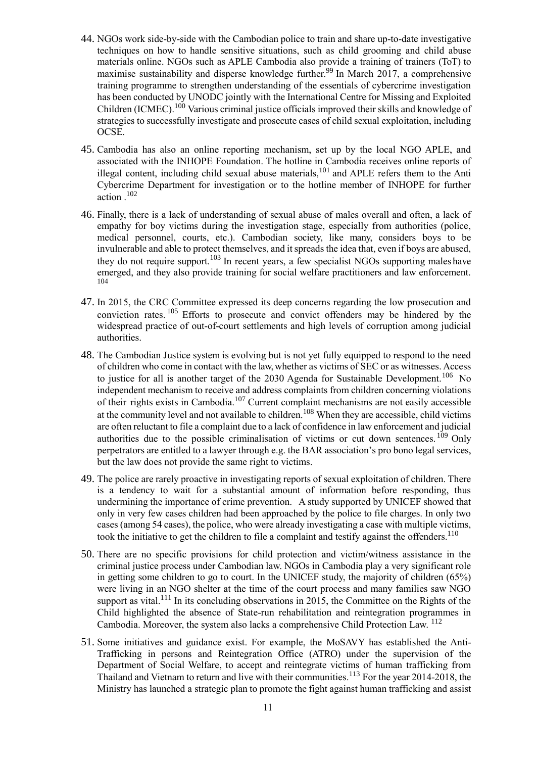- 44. NGOs work side-by-side with the Cambodian police to train and share up-to-date investigative techniques on how to handle sensitive situations, such as child grooming and child abuse materials online. NGOs such as APLE Cambodia also provide a training of trainers (ToT) to maximise sustainability and disperse knowledge further.<sup>99</sup> In March 2017, a comprehensive training programme to strengthen understanding of the essentials of cybercrime investigation has been conducted by UNODC jointly with the International Centre for Missing and Exploited Children (ICMEC).<sup>100</sup> Various criminal justice officials improved their skills and knowledge of strategies to successfully investigate and prosecute cases of child sexual exploitation, including OCSE.
- 45. Cambodia has also an online reporting mechanism, set up by the local NGO APLE, and associated with the INHOPE Foundation. The hotline in Cambodia receives online reports of illegal content, including child sexual abuse materials,  $^{101}$  and APLE refers them to the Anti Cybercrime Department for investigation or to the hotline member of INHOPE for further action .<sup>102</sup>
- 46. Finally, there is a lack of understanding of sexual abuse of males overall and often, a lack of empathy for boy victims during the investigation stage, especially from authorities (police, medical personnel, courts, etc.). Cambodian society, like many, considers boys to be invulnerable and able to protect themselves, and it spreads the idea that, even if boys are abused, they do not require support.<sup>103</sup> In recent years, a few specialist NGOs supporting males have emerged, and they also provide training for social welfare practitioners and law enforcement. 104
- 47. In 2015, the CRC Committee expressed its deep concerns regarding the low prosecution and conviction rates.<sup>105</sup> Efforts to prosecute and convict offenders may be hindered by the widespread practice of out-of-court settlements and high levels of corruption among judicial authorities.
- 48. The Cambodian Justice system is evolving but is not yet fully equipped to respond to the need of children who come in contact with the law, whether as victims of SEC or as witnesses. Access to justice for all is another target of the 2030 Agenda for Sustainable Development.<sup>106</sup> No independent mechanism to receive and address complaints from children concerning violations of their rights exists in Cambodia.<sup>107</sup> Current complaint mechanisms are not easily accessible at the community level and not available to children.<sup>108</sup> When they are accessible, child victims are often reluctant to file a complaint due to a lack of confidence in law enforcement and judicial authorities due to the possible criminalisation of victims or cut down sentences.<sup>109</sup> Only perpetrators are entitled to a lawyer through e.g. the BAR association's pro bono legal services, but the law does not provide the same right to victims.
- 49. The police are rarely proactive in investigating reports of sexual exploitation of children. There is a tendency to wait for a substantial amount of information before responding, thus undermining the importance of crime prevention. A study supported by UNICEF showed that only in very few cases children had been approached by the police to file charges. In only two cases (among 54 cases), the police, who were already investigating a case with multiple victims, took the initiative to get the children to file a complaint and testify against the offenders.<sup>110</sup>
- 50. There are no specific provisions for child protection and victim/witness assistance in the criminal justice process under Cambodian law. NGOs in Cambodia play a very significant role in getting some children to go to court. In the UNICEF study, the majority of children (65%) were living in an NGO shelter at the time of the court process and many families saw NGO support as vital.<sup>111</sup> In its concluding observations in 2015, the Committee on the Rights of the Child highlighted the absence of State-run rehabilitation and reintegration programmes in Cambodia. Moreover, the system also lacks a comprehensive Child Protection Law. <sup>112</sup>
- 51. Some initiatives and guidance exist. For example, the MoSAVY has established the Anti-Trafficking in persons and Reintegration Office (ATRO) under the supervision of the Department of Social Welfare, to accept and reintegrate victims of human trafficking from Thailand and Vietnam to return and live with their communities.<sup>113</sup> For the year 2014-2018, the Ministry has launched a strategic plan to promote the fight against human trafficking and assist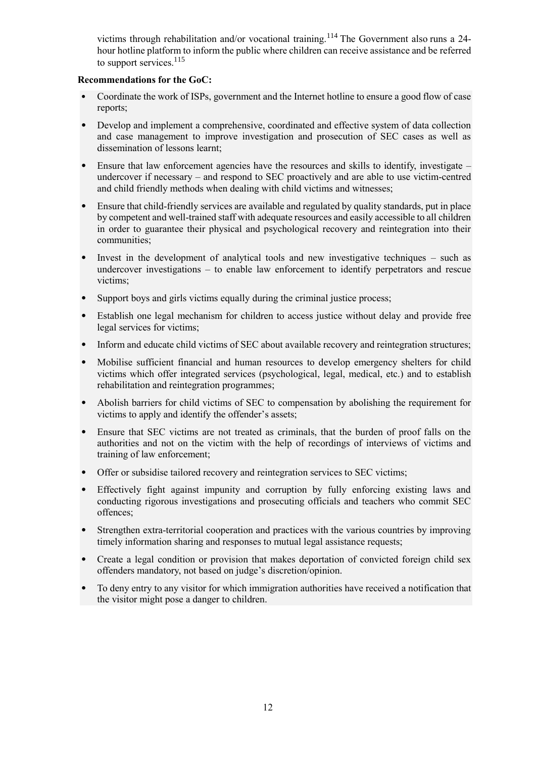victims through rehabilitation and/or vocational training.<sup>114</sup> The Government also runs a 24hour hotline platform to inform the public where children can receive assistance and be referred to support services. $^{115}$ 

# **Recommendations for the GoC:**

- Coordinate the work of ISPs, government and the Internet hotline to ensure a good flow of case reports;
- Develop and implement a comprehensive, coordinated and effective system of data collection and case management to improve investigation and prosecution of SEC cases as well as dissemination of lessons learnt;
- Ensure that law enforcement agencies have the resources and skills to identify, investigate  $$ undercover if necessary – and respond to SEC proactively and are able to use victim-centred and child friendly methods when dealing with child victims and witnesses;
- Ensure that child-friendly services are available and regulated by quality standards, put in place by competent and well-trained staff with adequate resources and easily accessible to all children in order to guarantee their physical and psychological recovery and reintegration into their communities;
- Invest in the development of analytical tools and new investigative techniques such as undercover investigations – to enable law enforcement to identify perpetrators and rescue victims;
- Support boys and girls victims equally during the criminal justice process;
- Establish one legal mechanism for children to access justice without delay and provide free legal services for victims;
- Inform and educate child victims of SEC about available recovery and reintegration structures;
- Mobilise sufficient financial and human resources to develop emergency shelters for child victims which offer integrated services (psychological, legal, medical, etc.) and to establish rehabilitation and reintegration programmes;
- Abolish barriers for child victims of SEC to compensation by abolishing the requirement for victims to apply and identify the offender's assets;
- Ensure that SEC victims are not treated as criminals, that the burden of proof falls on the authorities and not on the victim with the help of recordings of interviews of victims and training of law enforcement;
- Offer or subsidise tailored recovery and reintegration services to SEC victims;
- Effectively fight against impunity and corruption by fully enforcing existing laws and conducting rigorous investigations and prosecuting officials and teachers who commit SEC offences;
- Strengthen extra-territorial cooperation and practices with the various countries by improving timely information sharing and responses to mutual legal assistance requests;
- Create a legal condition or provision that makes deportation of convicted foreign child sex offenders mandatory, not based on judge's discretion/opinion.
- To deny entry to any visitor for which immigration authorities have received a notification that the visitor might pose a danger to children.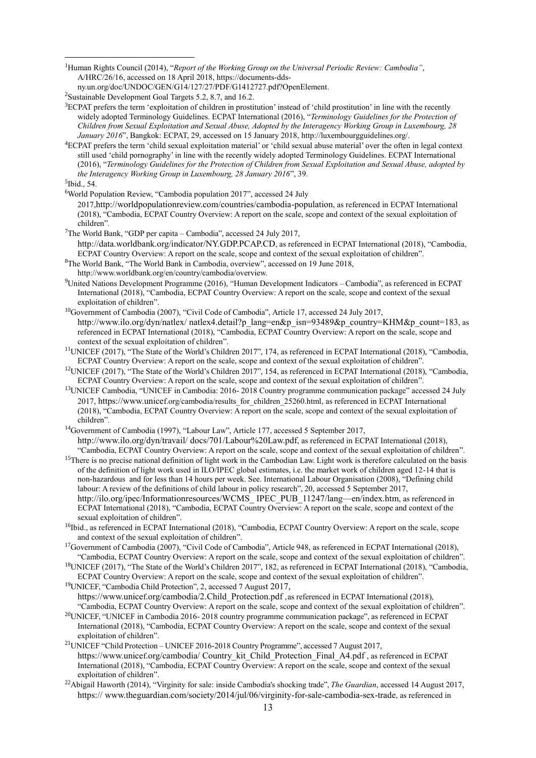<sup>1</sup>Human Rights Council (2014), "*Report of the Working Group on the Universal Periodic Review: Cambodia"*, A/HRC/26/16, accessed on 18 April 2018[, https://documents-dds-](https://documents-dds-ny.un.org/doc/UNDOC/GEN/G14/127/27/PDF/G1412727.pdf?OpenElement)

- ${}^{3}$ ECPAT prefers the term 'exploitation of children in prostitution' instead of 'child prostitution' in line with the recently widely adopted Terminology Guidelines. ECPAT International (2016), "*Terminology Guidelines for the Protection of Children from Sexual Exploitation and Sexual Abuse, Adopted by the Interagency Working Group in Luxembourg, 28 January 2016*", Bangkok: ECPAT, 29, accessed on 15 January 2018[, http://luxembourgguidelines.org/.](http://luxembourgguidelines.org/)
- <sup>4</sup>ECPAT prefers the term 'child sexual exploitation material' or 'child sexual abuse material' over the often in legal context still used 'child pornography' in line with the recently widely adopted Terminology Guidelines. ECPAT International (2016), "*Terminology Guidelines for the Protection of Children from Sexual Exploitation and Sexual Abuse, adopted by the Interagency Working Group in Luxembourg, 28 January 2016*", 39.

5 Ibid., 54.

1

- <sup>6</sup>World Population Review, "Cambodia population 2017", accessed 24 July 2017,<http://worldpopulationreview.com/countries/cambodia-population>, as referenced in ECPAT International (2018), "Cambodia, ECPAT Country Overview: A report on the scale, scope and context of the sexual exploitation of children".
- <sup>7</sup>The World Bank, "GDP per capita Cambodia", accessed 24 July [2017,](http://data.worldbank.org/indicator/NY.GDP.PCAP.CD) <http://data.worldbank.org/indicator/NY.GDP.PCAP.CD>, as referenced in ECPAT International (2018), "Cambodia, ECPAT Country Overview: A report on the scale, scope and context of the sexual exploitation of children".
- <sup>8</sup>The World Bank, "The World Bank in Cambodia, overview", accessed on 19 June 2018, http://www.worldbank.org/en/country/cambodia/overview.
- <sup>9</sup>United Nations Development Programme (2016), "Human Development Indicators Cambodia", as referenced in ECPAT International (2018), "Cambodia, ECPAT Country Overview: A report on the scale, scope and context of the sexual exploitation of children".
- <sup>10</sup>Government of Cambodia (2007), "Civil Code of Cambodia", Article 17, accessed 24 July 2017, [http://www.ilo.org/dyn/natlex/](http://www.ilo.org/dyn/natlex/natlex4.detail?p_lang=en&p_isn=93489&p_country=KHM&p_count=183) [natlex4.detail?p\\_lang=en&p\\_isn=93489&p\\_country=KHM&p\\_count=183](http://www.ilo.org/dyn/natlex/natlex4.detail?p_lang=en&p_isn=93489&p_country=KHM&p_count=183), as referenced in ECPAT International (2018), "Cambodia, ECPAT Country Overview: A report on the scale, scope and context of the sexual exploitation of children".
- <sup>11</sup>UNICEF (2017), "The State of the World's Children 2017", 174, as referenced in ECPAT International (2018), "Cambodia, ECPAT Country Overview: A report on the scale, scope and context of the sexual exploitation of children".
- <sup>12</sup>UNICEF (2017), "The State of the World's Children 2017", 154, as referenced in ECPAT International (2018), "Cambodia, ECPAT Country Overview: A report on the scale, scope and context of the sexual exploitation of children".
- <sup>13</sup>UNICEF Cambodia, "UNICEF in Cambodia: 2016- 2018 Country programme communication package" accessed 24 July 201[7,](https://www.unicef.org/cambodia/results_for_children_25260.html) [https://www.unice](https://www.unicef.org/cambodia/results_for_children_25260.html)[f.org/cambodia/results\\_for\\_children\\_25260.html,](https://www.unicef.org/cambodia/results_for_children_25260.html) as referenced in ECPAT International (2018), "Cambodia, ECPAT Country Overview: A report on the scale, scope and context of the sexual exploitation of children".
- <sup>14</sup>Government of Cambodia (1997), "Labour Law", Article 177, accessed 5 September 2017, [http://www.ilo.org/dyn/travail/](http://www.ilo.org/dyn/travail/docs/701/Labour%20Law.pdf) [docs/701/Labour%20Law.pdf](http://www.ilo.org/dyn/travail/docs/701/Labour%20Law.pdf), as referenced in ECPAT International (2018), "Cambodia, ECPAT Country Overview: A report on the scale, scope and context of the sexual exploitation of children".
- <sup>15</sup>There is no precise national definition of light work in the Cambodian Law. Light work is therefore calculated on the basis of the definition of light work used in ILO/IPEC global estimates, i.e. the market work of children aged 12-14 that is non-hazardous and for less than 14 hours per week. See. International Labour Organisation (2008), "Defining child labour: A review of the definitions of child labour in policy research", 20, accessed 5 September 2017, [http://ilo.org/ipec/Informationresources/WCMS\\_](http://ilo.org/ipec/Informationresources/WCMS_IPEC_PUB_11247/lang--en/index.htm) [IPEC\\_PUB\\_11247/lang—en/index.htm](http://ilo.org/ipec/Informationresources/WCMS_IPEC_PUB_11247/lang--en/index.htm), as referenced in ECPAT International (2018), "Cambodia, ECPAT Country Overview: A report on the scale, scope and context of the sexual exploitation of children".
- <sup>16</sup>Ibid., as referenced in ECPAT International (2018), "Cambodia, ECPAT Country Overview: A report on the scale, scope and context of the sexual exploitation of children".
- <sup>17</sup>Government of Cambodia (2007), "Civil Code of Cambodia", Article 948, as referenced in ECPAT International (2018), "Cambodia, ECPAT Country Overview: A report on the scale, scope and context of the sexual exploitation of children".
- <sup>18</sup>UNICEF (2017), "The State of the World's Children 2017", 182, as referenced in ECPAT International (2018), "Cambodia, ECPAT Country Overview: A report on the scale, scope and context of the sexual exploitation of children".
- <sup>19</sup>UNICEF, "Cambodia Child Protection", 2, accessed 7 Augus[t 2017,](https://www.unicef.org/cambodia/2.Child_Protection.pdf)  [https://www.unice](https://www.unicef.org/cambodia/2.Child_Protection.pdf)f[.org/cambodia/2.Child\\_Protection.pdf](https://www.unicef.org/cambodia/2.Child_Protection.pdf) [,](https://www.unicef.org/cambodia/2.Child_Protection.pdf) as referenced in ECPAT International (2018),
- "Cambodia, ECPAT Country Overview: A report on the scale, scope and context of the sexual exploitation of children". <sup>20</sup>UNICEF, "UNICEF in Cambodia 2016- 2018 country programme communication package", as referenced in ECPAT International (2018), "Cambodia, ECPAT Country Overview: A report on the scale, scope and context of the sexual exploitation of children".
- <sup>21</sup>UNICEF "Child Protection UNICEF 2016-2018 Country Programme", accessed 7 August 2017, [https://www.unice](https://www.unicef.org/cambodia/Country_kit_Child_Protection_Final_A4.pdf)f[.org/cambodia/](https://www.unicef.org/cambodia/Country_kit_Child_Protection_Final_A4.pdf) Country kit Child Protection Final A4.pdf [,](https://www.unicef.org/cambodia/Country_kit_Child_Protection_Final_A4.pdf) as referenced in ECPAT International (2018), "Cambodia, ECPAT Country Overview: A report on the scale, scope and context of the sexual exploitation of children".
- <sup>22</sup>Abigail Haworth (2014), "Virginity for sale: inside Cambodia's shocking trade", *The Guardian*, accessed 14 August 2017, [https://](https://www.theguardian.com/society/2014/jul/06/virginity-for-sale-cambodia-sex-trade) [www.theguardian.com/society/2014/jul/06/virginity-for-sale-cambodia-sex-trade](https://www.theguardian.com/society/2014/jul/06/virginity-for-sale-cambodia-sex-trade), as referenced in

[ny.un.org/doc/UNDOC/GEN/G14/127/27/PDF/G1412727.pdf?OpenElement.](https://documents-dds-ny.un.org/doc/UNDOC/GEN/G14/127/27/PDF/G1412727.pdf?OpenElement)

<sup>2</sup>Sustainable Development Goal Targets 5.2, 8.7, and 16.2.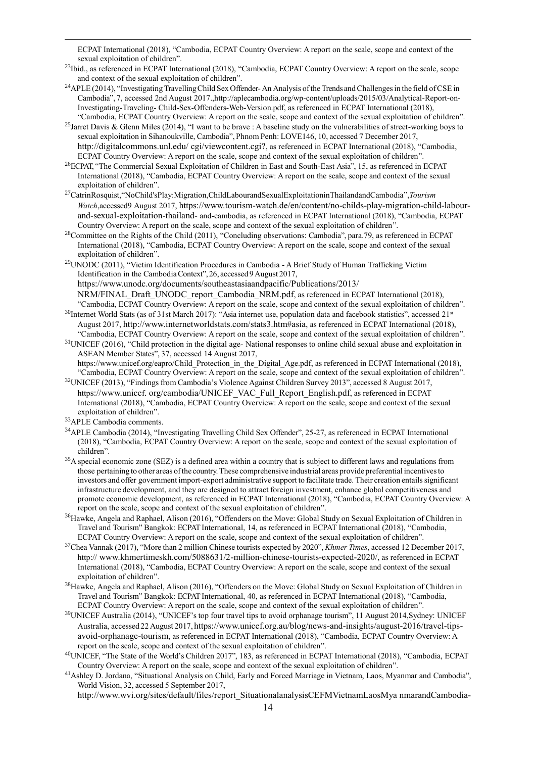ECPAT International (2018), "Cambodia, ECPAT Country Overview: A report on the scale, scope and context of the sexual exploitation of children".

- <sup>23</sup>Ibid., as referenced in ECPAT International (2018), "Cambodia, ECPAT Country Overview: A report on the scale, scope and context of the sexual exploitation of children".
- <sup>24</sup>APLE (2014), "Investigating Travelling Child Sex Offender- An Analysis of the Trends and Challenges in the field of CSE in Cambodia", 7, accessed 2nd Augus[t 2017.,ht](http://aplecambodia.org/wp-content/uploads/2015/03/Analytical-Report-on-Investigating-Traveling-)tp:[//aplecambodia.org/wp-content/uploads/2015/03/Analytical-Report-on-](http://aplecambodia.org/wp-content/uploads/2015/03/Analytical-Report-on-Investigating-Traveling-)[Investigating-Traveling-](http://aplecambodia.org/wp-content/uploads/2015/03/Analytical-Report-on-Investigating-Traveling-) Child-Sex-Offenders-Web-Version.pdf, as referenced in ECPAT International (2018), "Cambodia, ECPAT Country Overview: A report on the scale, scope and context of the sexual exploitation of children".
- <sup>25</sup>Jarret Davis & Glenn Miles (2014), "I want to be brave : A baseline study on the vulnerabilities of street-working boys to sexual exploitation in Sihanoukville, Cambodia", Phnom Penh: LOVE146, 10, accessed 7 December 2017, [http://digitalcommons.unl.edu/](http://digitalcommons.unl.edu/cgi/viewcontent.cgi?article=1005&context=humtrafcon6) [cgi/viewcontent.cgi?](http://digitalcommons.unl.edu/cgi/viewcontent.cgi?article=1005&context=humtrafcon6), as referenced in ECPAT International (2018), "Cambodia, ECPAT Country Overview: A report on the scale, scope and context of the sexual exploitation of children".
- <sup>26</sup>ECPAT, "The Commercial Sexual Exploitation of Children in East and South-East Asia", 15, as referenced in ECPAT International (2018), "Cambodia, ECPAT Country Overview: A report on the scale, scope and context of the sexual exploitation of children".
- <sup>27</sup>CatrinRosquist,"NoChild'sPlay:Migration,ChildLabourandSexualExploitationinThailandandCambodia",*Tourism Watch*,accessed9 August 2017, [https://www.tourism-watch.de/en/content/no-childs-play-migration-child-labour](https://www.tourism-watch.de/en/content/no-childs-play-migration-child-labour-and-sexual-exploitation-thailand-and-cambodia)[and-sexual-exploitation-thailand-](https://www.tourism-watch.de/en/content/no-childs-play-migration-child-labour-and-sexual-exploitation-thailand-and-cambodia) [and-cambodia,](https://www.tourism-watch.de/en/content/no-childs-play-migration-child-labour-and-sexual-exploitation-thailand-and-cambodia) as referenced in ECPAT International (2018), "Cambodia, ECPAT Country Overview: A report on the scale, scope and context of the sexual exploitation of children".
- <sup>28</sup>Committee on the Rights of the Child (2011), "Concluding observations: Cambodia", para.79, as referenced in ECPAT International (2018), "Cambodia, ECPAT Country Overview: A report on the scale, scope and context of the sexual exploitation of children".
- <sup>29</sup>UNODC (2011), "Victim Identification Procedures in Cambodia A Brief Study of Human Trafficking Victim Identification in the CambodiaContext",26, accessed 9August 2017,
	- [https://www.unodc.org/documents/southeastasiaandpacific/Publications/2013/](https://www.unodc.org/documents/southeastasiaandpacific/Publications/2013/NRM/FINAL_Draft_UNODC_report_Cambodia_NRM.pdf)
- [NRM/FINAL\\_Draft\\_UNODC\\_report\\_Cambodia\\_NRM.pdf](https://www.unodc.org/documents/southeastasiaandpacific/Publications/2013/NRM/FINAL_Draft_UNODC_report_Cambodia_NRM.pdf), as referenced in ECPAT International (2018), "Cambodia, ECPAT Country Overview: A report on the scale, scope and context of the sexual exploitation of children".
- <sup>30</sup>Internet World Stats (as of 31st March 2017): "Asia internet use, population data and facebook statistics", accessed 21st August 2017, http://www.internetworldstats.com/stats3.htm#asia, as referenced in ECPAT International (2018), "Cambodia, ECPAT Country Overview: A report on the scale, scope and context of the sexual exploitation of children".
- $31$ UNICEF (2016), "Child protection in the digital age- National responses to online child sexual abuse and exploitation in ASEAN Member States", 37, accessed 14 August 2017,
- [https://www.unicef.org/eapro/Child\\_Protection\\_in\\_the\\_Digital\\_Age.pdf,](https://www.unicef.org/eapro/Child_Protection_in_the_Digital_Age.pdf) as referenced in ECPAT International (2018), "Cambodia, ECPAT Country Overview: A report on the scale, scope and context of the sexual exploitation of children".
- <sup>32</sup>UNICEF (2013), "Findings from Cambodia's Violence Against Children Survey 2013", accessed 8 August [2017,](https://www.unicef.org/cambodia/UNICEF_VAC_Full_Report_English.pdf) [http](https://www.unicef.org/cambodia/UNICEF_VAC_Full_Report_English.pdf)[s://www.unice](https://www.unicef.org/cambodia/UNICEF_VAC_Full_Report_English.pdf)f[.](https://www.unicef.org/cambodia/UNICEF_VAC_Full_Report_English.pdf) [org/cambodia/UNICEF\\_VAC\\_Full\\_Report\\_English.pdf](https://www.unicef.org/cambodia/UNICEF_VAC_Full_Report_English.pdf), as referenced in ECPAT International (2018), "Cambodia, ECPAT Country Overview: A report on the scale, scope and context of the sexual exploitation of children".
- <sup>33</sup>APLE Cambodia comments.

1

- <sup>34</sup>APLE Cambodia (2014), "Investigating Travelling Child Sex Offender", 25-27, as referenced in ECPAT International (2018), "Cambodia, ECPAT Country Overview: A report on the scale, scope and context of the sexual exploitation of children".
- <sup>35</sup>A special economic zone (SEZ) is a defined area within a country that is subject to different laws and regulations from those pertaining to other areas ofthe country.These comprehensive industrial areas provide preferential incentivesto investors and offer government import-export administrative support to facilitate trade. Their creation entailssignificant infrastructure development, and they are designed to attract foreign investment, enhance global competitiveness and promote economic development, as referenced in ECPAT International (2018), "Cambodia, ECPAT Country Overview: A report on the scale, scope and context of the sexual exploitation of children".
- <sup>36</sup>Hawke, Angela and Raphael, Alison (2016), "Offenders on the Move: Global Study on Sexual Exploitation of Children in Travel and Tourism" Bangkok: ECPAT International, 14, as referenced in ECPAT International (2018), "Cambodia, ECPAT Country Overview: A report on the scale, scope and context of the sexual exploitation of children".
- <sup>37</sup>Chea Vannak (2017), "More than 2 million Chinese tourists expected by 2020", *Khmer Times*, accessed 12 December 2017, http:[//](http://www.khmertimeskh.com/5088631/2-million-chinese-tourists-expected-2020/) [www.khmertimeskh.com/5088631/2-million-chinese-tourists-expected-2020/](http://www.khmertimeskh.com/5088631/2-million-chinese-tourists-expected-2020/), as referenced in ECPAT International (2018), "Cambodia, ECPAT Country Overview: A report on the scale, scope and context of the sexual exploitation of children".
- <sup>38</sup>Hawke, Angela and Raphael, Alison (2016), "Offenders on the Move: Global Study on Sexual Exploitation of Children in Travel and Tourism" Bangkok: ECPAT International, 40, as referenced in ECPAT International (2018), "Cambodia, ECPAT Country Overview: A report on the scale, scope and context of the sexual exploitation of children".
- <sup>39</sup>UNICEF Australia (2014), "UNICEF's top four travel tips to avoid orphanage tourism", 11 August 2014, Sydney: UNICEF Australia, accessed 22Augus[t](https://www.unicef.org.au/blog/news-and-insights/august-2016/travel-tips-avoid-orphanage-tourism) [2017,](https://www.unicef.org.au/blog/news-and-insights/august-2016/travel-tips-avoid-orphanage-tourism) [https://www.unicef.org.au/blog/news-and-insights/august-2016/travel-tips](https://www.unicef.org.au/blog/news-and-insights/august-2016/travel-tips-avoid-orphanage-tourism)[avoid-orphanage-tourism](https://www.unicef.org.au/blog/news-and-insights/august-2016/travel-tips-avoid-orphanage-tourism), as referenced in ECPAT International (2018), "Cambodia, ECPAT Country Overview: A report on the scale, scope and context of the sexual exploitation of children".
- <sup>40</sup>UNICEF, "The State of the World's Children 2017", 183, as referenced in ECPAT International (2018), "Cambodia, ECPAT Country Overview: A report on the scale, scope and context of the sexual exploitation of children".
- <sup>41</sup>Ashley D. Jordana, "Situational Analysis on Child, Early and Forced Marriage in Vietnam, Laos, Myanmar and Cambodia", World Vision, 32, accessed 5 September 2017,

[http://www.wvi.org/sites/default/files/report\\_SituationalanalysisCEFMVietnamLaosMya](http://www.wvi.org/sites/default/files/report_SituationalanalysisCEFMVietnamLaosMyanmarandCambodia-FINAL.docx-2.pdf) [nmarandCambodia-](http://www.wvi.org/sites/default/files/report_SituationalanalysisCEFMVietnamLaosMyanmarandCambodia-FINAL.docx-2.pdf)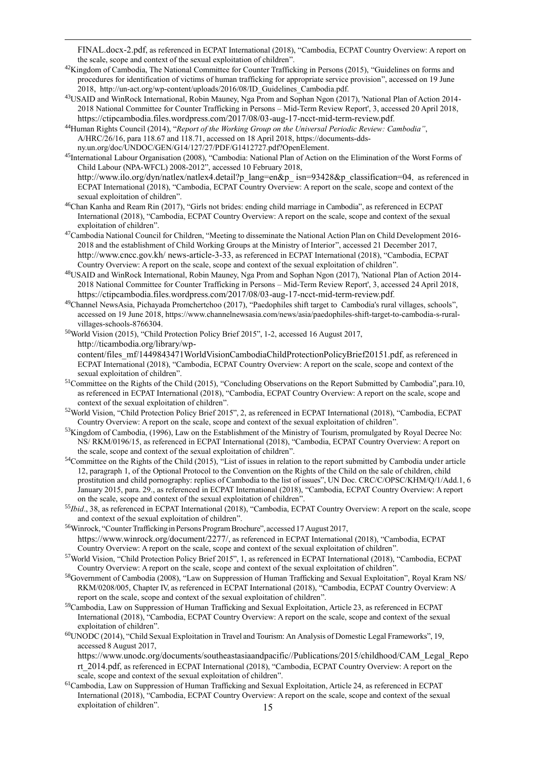[FINAL.docx-2.pdf](http://www.wvi.org/sites/default/files/report_SituationalanalysisCEFMVietnamLaosMyanmarandCambodia-FINAL.docx-2.pdf), as referenced in ECPAT International (2018), "Cambodia, ECPAT Country Overview: A report on the scale, scope and context of the sexual exploitation of children".

- <sup>42</sup>Kingdom of Cambodia, The National Committee for Counter Trafficking in Persons (2015), "Guidelines on forms and procedures for identification of victims of human trafficking for appropriate service provision", accessed on 19 June 2018, http://un-act.org/wp-content/uploads/2016/08/ID\_Guidelines\_Cambodia.pdf.
- <sup>43</sup>USAID and WinRock International, Robin Mauney, Nga Prom and Sophan Ngon (2017), 'National Plan of Action 2014- 2018 National Committee for Counter Trafficking in Persons – Mid-Term Review Report', 3, accessed 20 April 2018, <https://ctipcambodia.files.wordpress.com/2017/08/03-aug-17-ncct-mid-term-review.pdf>.
- <sup>44</sup>Human Rights Council (2014), "*Report of the Working Group on the Universal Periodic Review: Cambodia"*, A/HRC/26/16, para 118.67 and 118.71, accessed on 18 April 2018, [https://documents-dds](https://documents-dds-ny.un.org/doc/UNDOC/GEN/G14/127/27/PDF/G1412727.pdf?OpenElement)[ny.un.org/doc/UNDOC/GEN/G14/127/27/PDF/G1412727.pdf?OpenElement.](https://documents-dds-ny.un.org/doc/UNDOC/GEN/G14/127/27/PDF/G1412727.pdf?OpenElement)

1

- <sup>45</sup>International Labour Organisation (2008), "Cambodia: National Plan of Action on the Elimination of the Worst Forms of Child Labour (NPA-WFCL) 2008-2012", accessed 10 February 2018, [http://www.ilo.org/dyn/natlex/natlex4.detail?p\\_lang=en&p\\_](http://www.ilo.org/dyn/natlex/natlex4.detail?p_lang=en&p_isn=93428&p_classification=04) [isn=93428&p\\_classification=04](http://www.ilo.org/dyn/natlex/natlex4.detail?p_lang=en&p_isn=93428&p_classification=04), as referenced in ECPAT International (2018), "Cambodia, ECPAT Country Overview: A report on the scale, scope and context of the sexual exploitation of children".
- <sup>46</sup>Chan Kanha and Ream Rin (2017), "Girls not brides: ending child marriage in Cambodia", as referenced in ECPAT International (2018), "Cambodia, ECPAT Country Overview: A report on the scale, scope and context of the sexual exploitation of children".
- <sup>47</sup>Cambodia National Council for Children, "Meeting to disseminate the National Action Plan on Child Development 2016-2018 and the establishment of Child Working Groups at the Ministry of Interior", accessed 21 December 2017, [http://www.cncc.gov.kh/](http://www.cncc.gov.kh/news-article-3-33) [news-article-3-33](http://www.cncc.gov.kh/news-article-3-33), as referenced in ECPAT International (2018), "Cambodia, ECPAT Country Overview: A report on the scale, scope and context of the sexual exploitation of children".
- <sup>48</sup>USAID and WinRock International, Robin Mauney, Nga Prom and Sophan Ngon (2017), 'National Plan of Action 2014- 2018 National Committee for Counter Trafficking in Persons – Mid-Term Review Report', 3, accessed 24 April 2018, <https://ctipcambodia.files.wordpress.com/2017/08/03-aug-17-ncct-mid-term-review.pdf>.
- <sup>49</sup>Channel NewsAsia, Pichayada Promchertchoo (2017), "Paedophiles shift target to Cambodia's rural villages, schools", accessed on 19 June 2018[, https://www.channelnewsasia.com/news/asia/paedophiles-shift-target-to-cambodia-s-rural](https://www.channelnewsasia.com/news/asia/paedophiles-shift-target-to-cambodia-s-rural-villages-schools-8766304)[villages-schools-8766304.](https://www.channelnewsasia.com/news/asia/paedophiles-shift-target-to-cambodia-s-rural-villages-schools-8766304)
- <sup>50</sup>World Vision (2015), "Child Protection Policy Brief 2015", 1-2, accessed 16 August 2017, [http://ticambodia.org/library/wp-](http://ticambodia.org/library/wp-content/files_mf/1449843471WorldVisionCambodiaChildProtectionPolicyBrief20151.pdf)

[content/files\\_mf/1449843471WorldVisionCambodiaChildProtectionPolicyBrief20151.pdf](http://ticambodia.org/library/wp-content/files_mf/1449843471WorldVisionCambodiaChildProtectionPolicyBrief20151.pdf), as referenced in ECPAT International (2018), "Cambodia, ECPAT Country Overview: A report on the scale, scope and context of the sexual exploitation of children".

- <sup>51</sup>Committee on the Rights of the Child (2015), "Concluding Observations on the Report Submitted by Cambodia",para.10, as referenced in ECPAT International (2018), "Cambodia, ECPAT Country Overview: A report on the scale, scope and context of the sexual exploitation of children".
- <sup>52</sup>World Vision, "Child Protection Policy Brief 2015", 2, as referenced in ECPAT International (2018), "Cambodia, ECPAT Country Overview: A report on the scale, scope and context of the sexual exploitation of children".
- <sup>53</sup>Kingdom of Cambodia, (1996), Law on the Establishment of the Ministry of Tourism, promulgated by Royal Decree No: NS/ RKM/0196/15, as referenced in ECPAT International (2018), "Cambodia, ECPAT Country Overview: A report on the scale, scope and context of the sexual exploitation of children".
- <sup>54</sup>Committee on the Rights of the Child (2015), "List of issues in relation to the report submitted by Cambodia under article 12, paragraph 1, of the Optional Protocol to the Convention on the Rights of the Child on the sale of children, child prostitution and child pornography: replies of Cambodia to the list of issues", UN Doc. CRC/C/OPSC/KHM/Q/1/Add.1, 6 January 2015, para. 29., as referenced in ECPAT International (2018), "Cambodia, ECPAT Country Overview: A report on the scale, scope and context of the sexual exploitation of children".
- <sup>55</sup>*Ibid*., 38, as referenced in ECPAT International (2018), "Cambodia, ECPAT Country Overview: A report on the scale, scope and context of the sexual exploitation of children".
- <sup>56</sup>Winrock, "Counter Trafficking in Persons Program Brochure", accessed 17 August 2017, <https://www.winrock.org/document/2277/>, as referenced in ECPAT International (2018), "Cambodia, ECPAT Country Overview: A report on the scale, scope and context of the sexual exploitation of children".
- <sup>57</sup>World Vision, "Child Protection Policy Brief 2015", 1, as referenced in ECPAT International (2018), "Cambodia, ECPAT Country Overview: A report on the scale, scope and context of the sexual exploitation of children".
- <sup>58</sup>Government of Cambodia (2008), "Law on Suppression of Human Trafficking and Sexual Exploitation", Royal Kram NS/ RKM/0208/005, Chapter IV, as referenced in ECPAT International (2018), "Cambodia, ECPAT Country Overview: A report on the scale, scope and context of the sexual exploitation of children".
- <sup>59</sup>Cambodia, Law on Suppression of Human Trafficking and Sexual Exploitation, Article 23, as referenced in ECPAT International (2018), "Cambodia, ECPAT Country Overview: A report on the scale, scope and context of the sexual exploitation of children".

<sup>60</sup>UNODC (2014), "Child Sexual Exploitation in Travel and Tourism: An Analysis of Domestic Legal Frameworks", 19, accessed 8 August 2017,

[https://www.unodc.org/documents/southeastasiaandpacific//Publications/2015/childhood/CAM\\_Legal\\_Repo](https://www.unodc.org/documents/southeastasiaandpacific/Publications/2015/childhood/CAM_Legal_Report_2014.pdf) [rt\\_2014.pdf](https://www.unodc.org/documents/southeastasiaandpacific/Publications/2015/childhood/CAM_Legal_Report_2014.pdf), as referenced in ECPAT International (2018), "Cambodia, ECPAT Country Overview: A report on the scale, scope and context of the sexual exploitation of children".

15 <sup>61</sup>Cambodia, Law on Suppression of Human Trafficking and Sexual Exploitation, Article 24, as referenced in ECPAT International (2018), "Cambodia, ECPAT Country Overview: A report on the scale, scope and context of the sexual exploitation of children".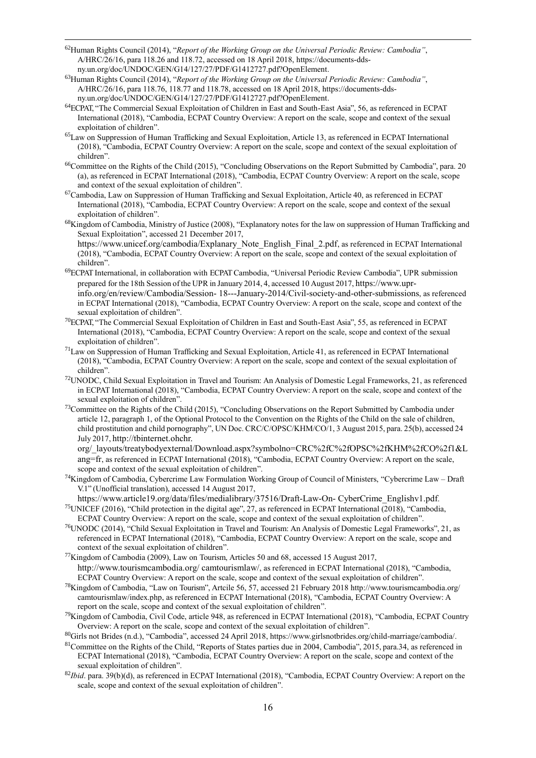<sup>62</sup>Human Rights Council (2014), "*Report of the Working Group on the Universal Periodic Review: Cambodia"*, A/HRC/26/16, para 118.26 and 118.72, accessed on 18 April 2018, [https://documents-dds](https://documents-dds-ny.un.org/doc/UNDOC/GEN/G14/127/27/PDF/G1412727.pdf?OpenElement)[ny.un.org/doc/UNDOC/GEN/G14/127/27/PDF/G1412727.pdf?OpenElement.](https://documents-dds-ny.un.org/doc/UNDOC/GEN/G14/127/27/PDF/G1412727.pdf?OpenElement)

1

- <sup>63</sup>Human Rights Council (2014), "*Report of the Working Group on the Universal Periodic Review: Cambodia"*, A/HRC/26/16, para 118.76, 118.77 and 118.78, accessed on 18 April 2018, [https://documents-dds](https://documents-dds-ny.un.org/doc/UNDOC/GEN/G14/127/27/PDF/G1412727.pdf?OpenElement)[ny.un.org/doc/UNDOC/GEN/G14/127/27/PDF/G1412727.pdf?OpenElement.](https://documents-dds-ny.un.org/doc/UNDOC/GEN/G14/127/27/PDF/G1412727.pdf?OpenElement)
- <sup>64</sup>ECPAT, "The Commercial Sexual Exploitation of Children in East and South-East Asia", 56, as referenced in ECPAT International (2018), "Cambodia, ECPAT Country Overview: A report on the scale, scope and context of the sexual exploitation of children".
- <sup>65</sup>Law on Suppression of Human Trafficking and Sexual Exploitation, Article 13, as referenced in ECPAT International (2018), "Cambodia, ECPAT Country Overview: A report on the scale, scope and context of the sexual exploitation of children".
- $^{66}$ Committee on the Rights of the Child (2015), "Concluding Observations on the Report Submitted by Cambodia", para. 20 (a), as referenced in ECPAT International (2018), "Cambodia, ECPAT Country Overview: A report on the scale, scope and context of the sexual exploitation of children".
- $67$ Cambodia, Law on Suppression of Human Trafficking and Sexual Exploitation, Article 40, as referenced in ECPAT International (2018), "Cambodia, ECPAT Country Overview: A report on the scale, scope and context of the sexual exploitation of children".
- <sup>68</sup>Kingdom of Cambodia, Ministry of Justice (2008), "Explanatory notes for the law on suppression of Human Trafficking and Sexual Exploitation[", accessed 21 December 2017,](https://www.unicef.org/cambodia/Explanary_Note_English_Final_2.pdf)

[https://www.unicef.org/cambodia/Explanary\\_Note\\_English\\_Final\\_2.pdf](https://www.unicef.org/cambodia/Explanary_Note_English_Final_2.pdf), as referenced in ECPAT International (2018), "Cambodia, ECPAT Country Overview: A report on the scale, scope and context of the sexual exploitation of children".

- <sup>69</sup>ECPATInternational, in collaboration with ECPAT Cambodia, "Universal Periodic Review Cambodia", UPR submission prepared for the 18th Session of the UPR in January 2014, 4, accessed 10 August 2017, [https://www.upr](https://www.upr-info.org/en/review/Cambodia/Session-18---January-2014/Civil-society-and-other-submissions)[info.org/en/review/Cambodia/Session-](https://www.upr-info.org/en/review/Cambodia/Session-18---January-2014/Civil-society-and-other-submissions) [18---January-2014/Civil-society-and-other-submissions](https://www.upr-info.org/en/review/Cambodia/Session-18---January-2014/Civil-society-and-other-submissions), as referenced in ECPAT International (2018), "Cambodia, ECPAT Country Overview: A report on the scale, scope and context of the sexual exploitation of children".
- <sup>70</sup>ECPAT, "The Commercial Sexual Exploitation of Children in East and South-East Asia", 55, as referenced in ECPAT International (2018), "Cambodia, ECPAT Country Overview: A report on the scale, scope and context of the sexual exploitation of children".
- $<sup>71</sup>$ Law on Suppression of Human Trafficking and Sexual Exploitation, Article 41, as referenced in ECPAT International</sup> (2018), "Cambodia, ECPAT Country Overview: A report on the scale, scope and context of the sexual exploitation of children".
- <sup>72</sup>UNODC, Child Sexual Exploitation in Travel and Tourism: An Analysis of Domestic Legal Frameworks, 21, as referenced in ECPAT International (2018), "Cambodia, ECPAT Country Overview: A report on the scale, scope and context of the sexual exploitation of children".
- $^{73}$ Committee on the Rights of the Child (2015), "Concluding Observations on the Report Submitted by Cambodia under article 12, paragraph 1, of the Optional Protocol to the Convention on the Rights of the Child on the sale of children, child prostitution and child pornography", UN Doc. CRC/C/OPSC/KHM/CO/1, 3 August 2015, para. 25(b), accessed 24 July 2017, [http://tbinternet.ohchr.](http://tbinternet.ohchr.org/_layouts/treatybodyexternal/Download.aspx?symbolno=CRC%2FC%2FOPSC%2FKHM%2FCO%2F1&Lang=fr)

[org/\\_layouts/treatybodyexternal/Download.aspx?symbolno=CRC%2fC%2fOPSC%2fKHM%2fCO%2f1&L](http://tbinternet.ohchr.org/_layouts/treatybodyexternal/Download.aspx?symbolno=CRC%2FC%2FOPSC%2FKHM%2FCO%2F1&Lang=fr) [ang=fr](http://tbinternet.ohchr.org/_layouts/treatybodyexternal/Download.aspx?symbolno=CRC%2FC%2FOPSC%2FKHM%2FCO%2F1&Lang=fr), as referenced in ECPAT International (2018), "Cambodia, ECPAT Country Overview: A report on the scale, scope and context of the sexual exploitation of children".

- <sup>74</sup>Kingdom of Cambodia, Cybercrime Law Formulation Working Group of Council of Ministers, "Cybercrime Law Draft V.1" (Unofficial translation), accessed 14 August 2017,
- [https://www.article19.org/data/files/medialibrary/37516/Draft-Law-On-](https://www.article19.org/data/files/medialibrary/37516/Draft-Law-On-CyberCrime_Englishv1.pdf) [CyberCrime\\_Englishv1.pdf](https://www.article19.org/data/files/medialibrary/37516/Draft-Law-On-CyberCrime_Englishv1.pdf). <sup>75</sup>UNICEF (2016), "Child protection in the digital age", 27, as referenced in ECPAT International (2018), "Cambodia, ECPAT Country Overview: A report on the scale, scope and context of the sexual exploitation of children".
- $^{76}$ UNODC (2014), "Child Sexual Exploitation in Travel and Tourism: An Analysis of Domestic Legal Frameworks", 21, as referenced in ECPAT International (2018), "Cambodia, ECPAT Country Overview: A report on the scale, scope and context of the sexual exploitation of children".
- <sup>77</sup>Kingdom of Cambodia (2009), Law on Tourism, Articles 50 and 68, accessed 15 August 2017, [http://www.tourismcambodia.org/](http://www.tourismcambodia.org/camtourismlaw/) [camtourismlaw/](http://www.tourismcambodia.org/camtourismlaw/), as referenced in ECPAT International (2018), "Cambodia, ECPAT Country Overview: A report on the scale, scope and context of the sexual exploitation of children".
- <sup>78</sup>Kingdom of Cambodia, "Law on Tourism", Artcile 56, 57, accessed 21 February 201[8 http://www.tourismcambodia.org/](http://www.tourismcambodia.org/) camtourismlaw/index.php, as referenced in ECPAT International (2018), "Cambodia, ECPAT Country Overview: A report on the scale, scope and context of the sexual exploitation of children".
- $^{79}$ Kingdom of Cambodia, Civil Code, article 948, as referenced in ECPAT International (2018), "Cambodia, ECPAT Country Overview: A report on the scale, scope and context of the sexual exploitation of children".

<sup>80</sup>Girls not Brides (n.d.), "Cambodia", accessed 24 April 2018, [https://www.girlsnotbrides.org/child-marriage/cambodia/.](https://www.girlsnotbrides.org/child-marriage/cambodia/)

- <sup>81</sup>Committee on the Rights of the Child, "Reports of States parties due in 2004, Cambodia", 2015, para.34, as referenced in ECPAT International (2018), "Cambodia, ECPAT Country Overview: A report on the scale, scope and context of the sexual exploitation of children".
- <sup>82</sup>*Ibid*. para. 39(b)(d), as referenced in ECPAT International (2018), "Cambodia, ECPAT Country Overview: A report on the scale, scope and context of the sexual exploitation of children".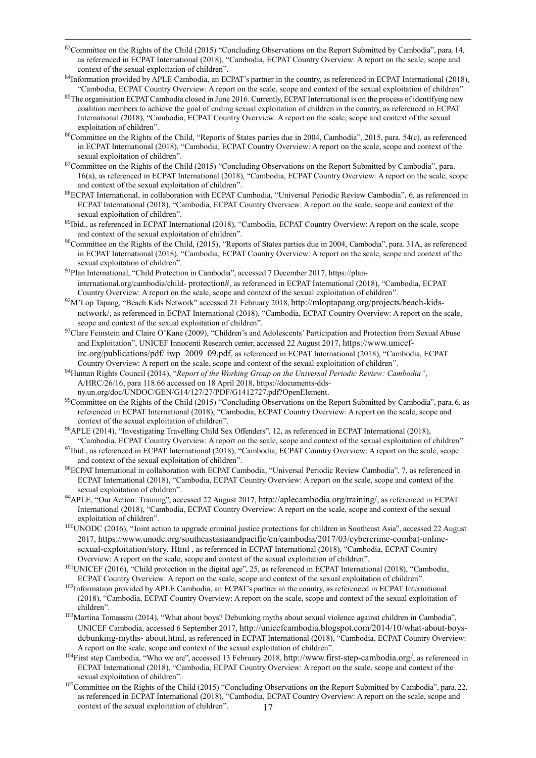83Committee on the Rights of the Child (2015) "Concluding Observations on the Report Submitted by Cambodia", para.14, as referenced in ECPAT International (2018), "Cambodia, ECPAT Country Overview: A report on the scale, scope and context of the sexual exploitation of children".

1

- 84Information provided by APLE Cambodia, an ECPAT's partner in the country, as referenced in ECPAT International (2018), "Cambodia, ECPAT Country Overview: A report on the scale, scope and context of the sexual exploitation of children".
- <sup>85</sup>The organisation ECPAT Cambodia closed in June 2016. Currently, ECPAT International is on the process of identifying new coalition members to achieve the goal of ending sexual exploitation of children in the country, as referenced in ECPAT International (2018), "Cambodia, ECPAT Country Overview: A report on the scale, scope and context of the sexual exploitation of children".
- <sup>86</sup>Committee on the Rights of the Child, "Reports of States parties due in 2004, Cambodia", 2015, para. 54(c), as referenced in ECPAT International (2018), "Cambodia, ECPAT Country Overview: A report on the scale, scope and context of the sexual exploitation of children".
- $87$ Committee on the Rights of the Child (2015) "Concluding Observations on the Report Submitted by Cambodia", para. 16(a), as referenced in ECPAT International (2018), "Cambodia, ECPAT Country Overview: A report on the scale, scope and context of the sexual exploitation of children".
- <sup>88</sup>ECPAT International, in collaboration with ECPAT Cambodia, "Universal Periodic Review Cambodia", 6, as referenced in ECPAT International (2018), "Cambodia, ECPAT Country Overview: A report on the scale, scope and context of the sexual exploitation of children".
- 89Ibid., as referenced in ECPAT International (2018), "Cambodia, ECPAT Country Overview: A report on the scale, scope and context of the sexual exploitation of children".
- <sup>90</sup>Committee on the Rights of the Child, (2015), "Reports of States parties due in 2004, Cambodia", para. 31A, as referenced in ECPAT International (2018), "Cambodia, ECPAT Country Overview: A report on the scale, scope and context of the sexual exploitation of children".
- <sup>91</sup>Plan International, "Child Protection in Cambodia[",](https://plan-international.org/cambodia/child-protection) [accessed](https://plan-international.org/cambodia/child-protection) [7](https://plan-international.org/cambodia/child-protection) [December](https://plan-international.org/cambodia/child-protection) [2017,](https://plan-international.org/cambodia/child-protection) [https://plan](https://plan-international.org/cambodia/child-protection)[international.org/cambodia/child-](https://plan-international.org/cambodia/child-protection) [protection#](https://plan-international.org/cambodia/child-protection), as referenced in ECPAT International (2018), "Cambodia, ECPAT Country Overview: A report on the scale, scope and context of the sexual exploitation of children".
- <sup>92</sup>M'Lop Tapang, "Beach Kids Network" accessed 21 February 2018, [http://mloptapang.org/projects/beach-kids](http://mloptapang.org/projects/beach-kids-network/)[network/](http://mloptapang.org/projects/beach-kids-network/), as referenced in ECPAT International (2018), "Cambodia, ECPAT Country Overview: A report on the scale, scope and context of the sexual exploitation of children".
- <sup>93</sup>Clare Feinstein and Claire O'Kane (2009), "Children's and Adolescents' Participation and Protection from Sexual Abuse and Exploitation", UNICEF Innocenti Research center, accessed 22 August 2017, [https://www.unicef](https://www.unicef-irc.org/publications/pdf/iwp_2009_09.pdf)[irc.org/publications/pdf/](https://www.unicef-irc.org/publications/pdf/iwp_2009_09.pdf) [iwp\\_2009\\_09.pdf](https://www.unicef-irc.org/publications/pdf/iwp_2009_09.pdf), as referenced in ECPAT International (2018), "Cambodia, ECPAT Country Overview: A report on the scale, scope and context of the sexual exploitation of children".
- <sup>94</sup>Human Rights Council (2014), "*Report of the Working Group on the Universal Periodic Review: Cambodia"*, A/HRC/26/16, para 118.66 accessed on 18 April 2018, [https://documents-dds](https://documents-dds-ny.un.org/doc/UNDOC/GEN/G14/127/27/PDF/G1412727.pdf?OpenElement)[ny.un.org/doc/UNDOC/GEN/G14/127/27/PDF/G1412727.pdf?OpenElement.](https://documents-dds-ny.un.org/doc/UNDOC/GEN/G14/127/27/PDF/G1412727.pdf?OpenElement)
- <sup>95</sup>Committee on the Rights of the Child (2015) "Concluding Observations on the Report Submitted by Cambodia", para.6, as referenced in ECPAT International (2018), "Cambodia, ECPAT Country Overview: A report on the scale, scope and context of the sexual exploitation of children".
- <sup>96</sup>APLE (2014), "Investigating Travelling Child Sex Offenders", 12, as referenced in ECPAT International (2018), "Cambodia, ECPAT Country Overview: A report on the scale, scope and context of the sexual exploitation of children".
- <sup>97</sup>Ibid., as referenced in ECPAT International (2018), "Cambodia, ECPAT Country Overview: A report on the scale, scope and context of the sexual exploitation of children".
- <sup>98</sup>ECPAT International in collaboration with ECPAT Cambodia, "Universal Periodic Review Cambodia", 7, as referenced in ECPAT International (2018), "Cambodia, ECPAT Country Overview: A report on the scale, scope and context of the sexual exploitation of children".
- <sup>99</sup>APLE, "Our Action: Training", accessed 22 August 2017, <http://aplecambodia.org/training/>, as referenced in ECPAT International (2018), "Cambodia, ECPAT Country Overview: A report on the scale, scope and context of the sexual exploitation of children".
- $100$ UNODC (2016), "Joint action to upgrade criminal justice protections for children in Southeast Asia", accessed 22 August 2017, [https:](https://www.unodc.org/southeastasiaandpacific/en/cambodia/2017/03/cybercrime-combat-online-sexual-exploitation/story.html)//w[ww.unodc.org/southeastasiaandpacific/en/cambodia/2017/03/cybercrime-combat-online](https://www.unodc.org/southeastasiaandpacific/en/cambodia/2017/03/cybercrime-combat-online-sexual-exploitation/story.html)[sexual-exploitation/story.](https://www.unodc.org/southeastasiaandpacific/en/cambodia/2017/03/cybercrime-combat-online-sexual-exploitation/story.html) [Html](https://www.unodc.org/southeastasiaandpacific/en/cambodia/2017/03/cybercrime-combat-online-sexual-exploitation/story.html) , as referenced in ECPAT International (2018), "Cambodia, ECPAT Country Overview: A report on the scale, scope and context of the sexual exploitation of children".
- <sup>101</sup>UNICEF (2016), "Child protection in the digital age", 25, as referenced in ECPAT International (2018), "Cambodia, ECPAT Country Overview: A report on the scale, scope and context of the sexual exploitation of children".
- <sup>102</sup>Information provided by APLE Cambodia, an ECPAT's partner in the country, as referenced in ECPAT International (2018), "Cambodia, ECPAT Country Overview: A report on the scale, scope and context of the sexual exploitation of children".
- <sup>103</sup>Martina Tomassini (2014), "What about boys? Debunking myths about sexual violence against children in Cambodia", UNICEF Cambodia, accessed 6 September 2017, [http://unicefcambodia.blogspot.com/2014/10/what-about-boys](http://unicefcambodia.blogspot.com/2014/10/what-about-boys-debunking-myths-about.html)[debunking-myths-](http://unicefcambodia.blogspot.com/2014/10/what-about-boys-debunking-myths-about.html) [about.html](http://unicefcambodia.blogspot.com/2014/10/what-about-boys-debunking-myths-about.html), as referenced in ECPAT International (2018), "Cambodia, ECPAT Country Overview: A report on the scale, scope and context of the sexual exploitation of children".
- <sup>104</sup>First step Cambodia, "Who we are", accessed 13 Febru[ary 2018,](http://www.first-step-cambodia.org/) <http://www.first-step-cambodia.org/>, as referenced in ECPAT International (2018), "Cambodia, ECPAT Country Overview: A report on the scale, scope and context of the sexual exploitation of children".
- 17 <sup>105</sup>Committee on the Rights of the Child (2015) "Concluding Observations on the Report Submitted by Cambodia", para.22, as referenced in ECPAT International (2018), "Cambodia, ECPAT Country Overview: A report on the scale, scope and context of the sexual exploitation of children".